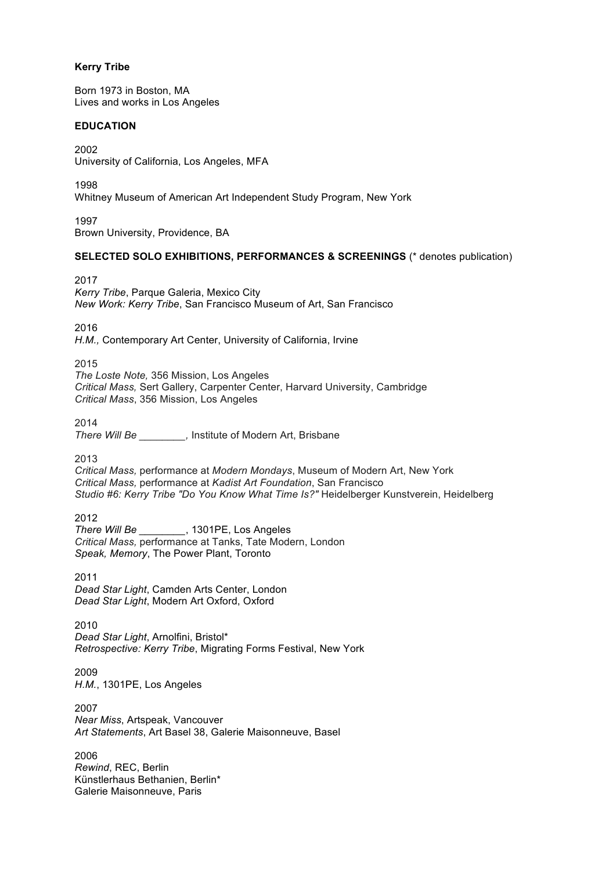### **Kerry Tribe**

Born 1973 in Boston, MA Lives and works in Los Angeles

#### **EDUCATION**

2002 University of California, Los Angeles, MFA

1998 Whitney Museum of American Art Independent Study Program, New York

1997 Brown University, Providence, BA

## **SELECTED SOLO EXHIBITIONS, PERFORMANCES & SCREENINGS** (\* denotes publication)

2017 *Kerry Tribe*, Parque Galeria, Mexico City *New Work: Kerry Tribe*, San Francisco Museum of Art, San Francisco

2016

*H.M.,* Contemporary Art Center, University of California, Irvine

2015

*The Loste Note,* 356 Mission, Los Angeles *Critical Mass,* Sert Gallery, Carpenter Center, Harvard University, Cambridge *Critical Mass*, 356 Mission, Los Angeles

2014

*There Will Be \_\_\_\_\_\_\_\_,* Institute of Modern Art, Brisbane

2013

*Critical Mass,* performance at *Modern Mondays*, Museum of Modern Art, New York *Critical Mass,* performance at *Kadist Art Foundation*, San Francisco *Studio #6: Kerry Tribe "Do You Know What Time Is?"* Heidelberger Kunstverein, Heidelberg

2012

*There Will Be \_\_\_\_\_\_\_\_*, 1301PE, Los Angeles *Critical Mass,* performance at Tanks, Tate Modern, London *Speak, Memory*, The Power Plant, Toronto

2011 *Dead Star Light*, Camden Arts Center, London *Dead Star Light*, Modern Art Oxford, Oxford

2010 *Dead Star Light*, Arnolfini, Bristol\* *Retrospective: Kerry Tribe*, Migrating Forms Festival, New York

2009 *H.M.*, 1301PE, Los Angeles

2007 *Near Miss*, Artspeak, Vancouver *Art Statements*, Art Basel 38, Galerie Maisonneuve, Basel

2006 *Rewind*, REC, Berlin Künstlerhaus Bethanien, Berlin\* Galerie Maisonneuve, Paris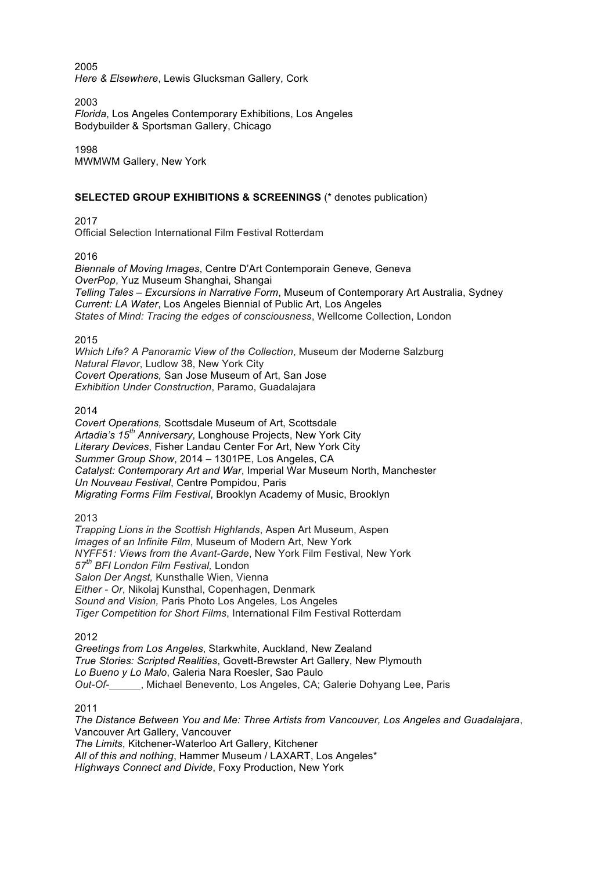#### 2005 *Here & Elsewhere*, Lewis Glucksman Gallery, Cork

2003

*Florida*, Los Angeles Contemporary Exhibitions, Los Angeles Bodybuilder & Sportsman Gallery, Chicago

1998 MWMWM Gallery, New York

# **SELECTED GROUP EXHIBITIONS & SCREENINGS** (\* denotes publication)

2017

Official Selection International Film Festival Rotterdam

2016

*Biennale of Moving Images*, Centre D'Art Contemporain Geneve, Geneva *OverPop*, Yuz Museum Shanghai, Shangai *Telling Tales – Excursions in Narrative Form*, Museum of Contemporary Art Australia, Sydney *Current: LA Water*, Los Angeles Biennial of Public Art, Los Angeles *States of Mind: Tracing the edges of consciousness*, Wellcome Collection, London

2015

*Which Life? A Panoramic View of the Collection*, Museum der Moderne Salzburg *Natural Flavor*, Ludlow 38, New York City *Covert Operations,* San Jose Museum of Art, San Jose *Exhibition Under Construction*, Paramo, Guadalajara

2014

*Covert Operations,* Scottsdale Museum of Art, Scottsdale *Artadia's 15th Anniversary*, Longhouse Projects, New York City *Literary Devices*, Fisher Landau Center For Art, New York City *Summer Group Show*, 2014 – 1301PE, Los Angeles, CA *Catalyst: Contemporary Art and War*, Imperial War Museum North, Manchester *Un Nouveau Festival*, Centre Pompidou, Paris *Migrating Forms Film Festival*, Brooklyn Academy of Music, Brooklyn

2013

*Trapping Lions in the Scottish Highlands*, Aspen Art Museum, Aspen *Images of an Infinite Film*, Museum of Modern Art, New York *NYFF51: Views from the Avant-Garde*, New York Film Festival, New York *57th BFI London Film Festival,* London *Salon Der Angst,* Kunsthalle Wien, Vienna *Either - Or*, Nikolaj Kunsthal, Copenhagen, Denmark *Sound and Vision,* Paris Photo Los Angeles*,* Los Angeles *Tiger Competition for Short Films*, International Film Festival Rotterdam

2012

*Greetings from Los Angeles*, Starkwhite, Auckland, New Zealand *True Stories: Scripted Realities*, Govett-Brewster Art Gallery, New Plymouth *Lo Bueno y Lo Malo*, Galeria Nara Roesler, Sao Paulo *Out-Of-* , Michael Benevento, Los Angeles, CA; Galerie Dohyang Lee, Paris

2011

*The Distance Between You and Me: Three Artists from Vancouver, Los Angeles and Guadalajara*, Vancouver Art Gallery, Vancouver

*The Limits*, Kitchener-Waterloo Art Gallery, Kitchener *All of this and nothing*, Hammer Museum / LAXART, Los Angeles\* *Highways Connect and Divide*, Foxy Production, New York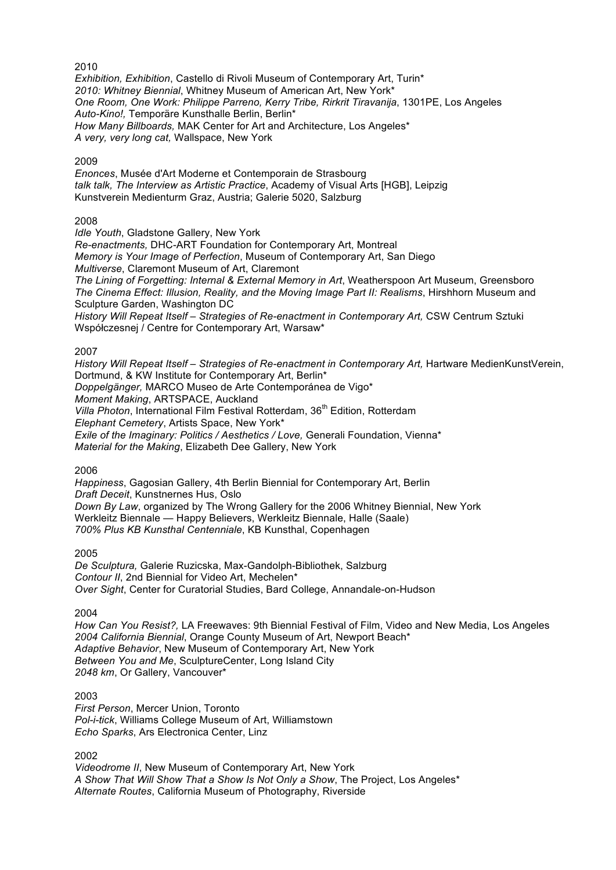*Exhibition, Exhibition*, Castello di Rivoli Museum of Contemporary Art, Turin\* *2010: Whitney Biennial*, Whitney Museum of American Art, New York\* *One Room, One Work: Philippe Parreno, Kerry Tribe, Rirkrit Tiravanija*, 1301PE, Los Angeles *Auto-Kino!,* Temporäre Kunsthalle Berlin, Berlin\* *How Many Billboards,* MAK Center for Art and Architecture, Los Angeles\* *A very, very long cat,* Wallspace, New York

#### 2009

*Enonces*, Musée d'Art Moderne et Contemporain de Strasbourg *talk talk, The Interview as Artistic Practice*, Academy of Visual Arts [HGB], Leipzig Kunstverein Medienturm Graz, Austria; Galerie 5020, Salzburg

## 2008

*Idle Youth*, Gladstone Gallery, New York *Re-enactments,* DHC-ART Foundation for Contemporary Art, Montreal *Memory is Your Image of Perfection*, Museum of Contemporary Art, San Diego *Multiverse*, Claremont Museum of Art, Claremont *The Lining of Forgetting: Internal & External Memory in Art*, Weatherspoon Art Museum, Greensboro *The Cinema Effect: Illusion, Reality, and the Moving Image Part II: Realisms*, Hirshhorn Museum and Sculpture Garden, Washington DC *History Will Repeat Itself – Strategies of Re-enactment in Contemporary Art,* CSW Centrum Sztuki Współczesnej / Centre for Contemporary Art, Warsaw\*

### 2007

*History Will Repeat Itself – Strategies of Re-enactment in Contemporary Art,* Hartware MedienKunstVerein, Dortmund, & KW Institute for Contemporary Art, Berlin\* *Doppelgänger,* MARCO Museo de Arte Contemporánea de Vigo\* *Moment Making*, ARTSPACE, Auckland *Villa Photon*, International Film Festival Rotterdam, 36<sup>th</sup> Edition, Rotterdam *Elephant Cemetery*, Artists Space, New York\* *Exile of the Imaginary: Politics / Aesthetics / Love,* Generali Foundation, Vienna\* *Material for the Making*, Elizabeth Dee Gallery, New York

2006

*Happiness*, Gagosian Gallery, 4th Berlin Biennial for Contemporary Art, Berlin *Draft Deceit*, Kunstnernes Hus, Oslo *Down By Law*, organized by The Wrong Gallery for the 2006 Whitney Biennial, New York Werkleitz Biennale — Happy Believers, Werkleitz Biennale, Halle (Saale) *700% Plus KB Kunsthal Centenniale*, KB Kunsthal, Copenhagen

#### 2005

*De Sculptura,* Galerie Ruzicska, Max-Gandolph-Bibliothek, Salzburg *Contour II*, 2nd Biennial for Video Art, Mechelen\* *Over Sight*, Center for Curatorial Studies, Bard College, Annandale-on-Hudson

2004

*How Can You Resist?,* LA Freewaves: 9th Biennial Festival of Film, Video and New Media, Los Angeles *2004 California Biennial*, Orange County Museum of Art, Newport Beach\* *Adaptive Behavior*, New Museum of Contemporary Art, New York *Between You and Me*, SculptureCenter, Long Island City *2048 km*, Or Gallery, Vancouver\*

### 2003

*First Person*, Mercer Union, Toronto *Pol-i-tick*, Williams College Museum of Art, Williamstown *Echo Sparks*, Ars Electronica Center, Linz

2002

*Videodrome II*, New Museum of Contemporary Art, New York *A Show That Will Show That a Show Is Not Only a Show*, The Project, Los Angeles\* *Alternate Routes*, California Museum of Photography, Riverside

#### 2010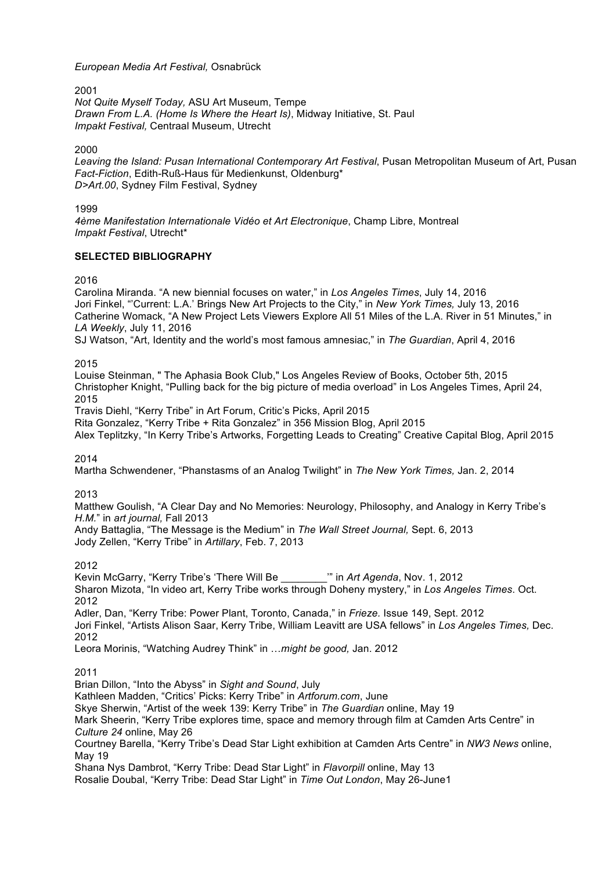*European Media Art Festival,* Osnabrück

2001 *Not Quite Myself Today,* ASU Art Museum, Tempe *Drawn From L.A. (Home Is Where the Heart Is)*, Midway Initiative, St. Paul *Impakt Festival,* Centraal Museum, Utrecht

2000

*Leaving the Island: Pusan International Contemporary Art Festival*, Pusan Metropolitan Museum of Art, Pusan *Fact-Fiction*, Edith-Ruß-Haus für Medienkunst, Oldenburg\* *D>Art.00*, Sydney Film Festival, Sydney

1999

*4ème Manifestation Internationale Vidéo et Art Electronique*, Champ Libre, Montreal *Impakt Festival*, Utrecht\*

### **SELECTED BIBLIOGRAPHY**

2016

Carolina Miranda. "A new biennial focuses on water," in *Los Angeles Times*, July 14, 2016 Jori Finkel, "'Current: L.A.' Brings New Art Projects to the City," in *New York Times,* July 13, 2016 Catherine Womack, "A New Project Lets Viewers Explore All 51 Miles of the L.A. River in 51 Minutes," in *LA Weekly*, July 11, 2016 SJ Watson, "Art, Identity and the world's most famous amnesiac," in *The Guardian*, April 4, 2016

2015

Louise Steinman, " The Aphasia Book Club," Los Angeles Review of Books, October 5th, 2015 Christopher Knight, "Pulling back for the big picture of media overload" in Los Angeles Times, April 24, 2015

Travis Diehl, "Kerry Tribe" in Art Forum, Critic's Picks, April 2015

Rita Gonzalez, "Kerry Tribe + Rita Gonzalez" in 356 Mission Blog, April 2015

Alex Teplitzky, "In Kerry Tribe's Artworks, Forgetting Leads to Creating" Creative Capital Blog, April 2015

2014

Martha Schwendener, "Phanstasms of an Analog Twilight" in *The New York Times,* Jan. 2, 2014

2013

Matthew Goulish, "A Clear Day and No Memories: Neurology, Philosophy, and Analogy in Kerry Tribe's *H.M.*" in *art journal,* Fall 2013

Andy Battaglia, "The Message is the Medium" in *The Wall Street Journal,* Sept. 6, 2013 Jody Zellen, "Kerry Tribe" in *Artillary*, Feb. 7, 2013

2012

Kevin McGarry, "Kerry Tribe's 'There Will Be \_\_\_\_\_\_\_\_'" in *Art Agenda*, Nov. 1, 2012 Sharon Mizota, "In video art, Kerry Tribe works through Doheny mystery," in *Los Angeles Times*. Oct. 2012 Adler, Dan, "Kerry Tribe: Power Plant, Toronto, Canada," in *Frieze.* Issue 149, Sept. 2012 Jori Finkel, "Artists Alison Saar, Kerry Tribe, William Leavitt are USA fellows" in *Los Angeles Times,* Dec. 2012

Leora Morinis, "Watching Audrey Think" in …*might be good,* Jan. 2012

2011

Brian Dillon, "Into the Abyss" in *Sight and Sound*, July

Kathleen Madden, "Critics' Picks: Kerry Tribe" in *Artforum.com*, June

Skye Sherwin, "Artist of the week 139: Kerry Tribe" in *The Guardian* online, May 19

Mark Sheerin, "Kerry Tribe explores time, space and memory through film at Camden Arts Centre" in *Culture 24* online, May 26

Courtney Barella, "Kerry Tribe's Dead Star Light exhibition at Camden Arts Centre" in *NW3 News* online, May 19

Shana Nys Dambrot, "Kerry Tribe: Dead Star Light" in *Flavorpill* online, May 13 Rosalie Doubal, "Kerry Tribe: Dead Star Light" in *Time Out London*, May 26-June1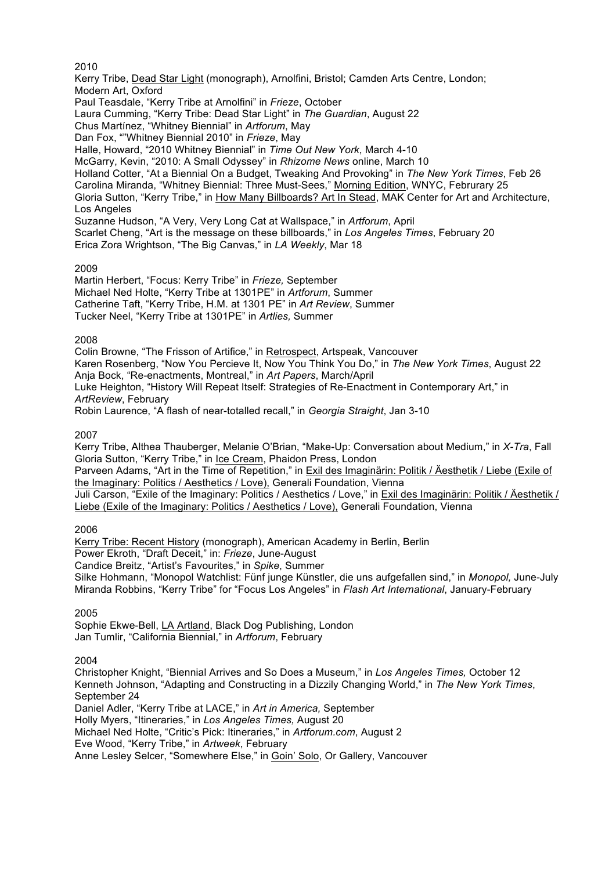2010

Kerry Tribe, Dead Star Light (monograph), Arnolfini, Bristol; Camden Arts Centre, London; Modern Art, Oxford

Paul Teasdale, "Kerry Tribe at Arnolfini" in *Frieze*, October

Laura Cumming, "Kerry Tribe: Dead Star Light" in *The Guardian*, August 22

Chus Martínez, "Whitney Biennial" in *Artforum*, May

Dan Fox, ""Whitney Biennial 2010" in *Frieze*, May

Halle, Howard, "2010 Whitney Biennial" in *Time Out New York*, March 4-10

McGarry, Kevin, "2010: A Small Odyssey" in *Rhizome News* online, March 10

Holland Cotter, "At a Biennial On a Budget, Tweaking And Provoking" in *The New York Times*, Feb 26 Carolina Miranda, "Whitney Biennial: Three Must-Sees," Morning Edition, WNYC, Februrary 25 Gloria Sutton, "Kerry Tribe," in How Many Billboards? Art In Stead, MAK Center for Art and Architecture, Los Angeles

Suzanne Hudson, "A Very, Very Long Cat at Wallspace," in *Artforum*, April Scarlet Cheng, "Art is the message on these billboards," in *Los Angeles Times*, February 20 Erica Zora Wrightson, "The Big Canvas," in *LA Weekly*, Mar 18

## 2009

Martin Herbert, "Focus: Kerry Tribe" in *Frieze,* September Michael Ned Holte, "Kerry Tribe at 1301PE" in *Artforum*, Summer Catherine Taft, "Kerry Tribe, H.M. at 1301 PE" in *Art Review*, Summer Tucker Neel, "Kerry Tribe at 1301PE" in *Artlies,* Summer

### 2008

Colin Browne, "The Frisson of Artifice," in Retrospect, Artspeak, Vancouver Karen Rosenberg, "Now You Percieve It, Now You Think You Do," in *The New York Times*, August 22 Anja Bock, "Re-enactments, Montreal," in *Art Papers*, March/April Luke Heighton, "History Will Repeat Itself: Strategies of Re-Enactment in Contemporary Art," in *ArtReview*, February Robin Laurence, "A flash of near-totalled recall," in *Georgia Straight*, Jan 3-10

2007

Kerry Tribe, Althea Thauberger, Melanie O'Brian, "Make-Up: Conversation about Medium," in *X-Tra*, Fall Gloria Sutton, "Kerry Tribe," in Ice Cream, Phaidon Press, London

Parveen Adams, "Art in the Time of Repetition," in Exil des Imaginärin: Politik / Äesthetik / Liebe (Exile of the Imaginary: Politics / Aesthetics / Love), Generali Foundation, Vienna

Juli Carson, "Exile of the Imaginary: Politics / Aesthetics / Love," in Exil des Imaginärin: Politik / Äesthetik / Liebe (Exile of the Imaginary: Politics / Aesthetics / Love), Generali Foundation, Vienna

## 2006

Kerry Tribe: Recent History (monograph), American Academy in Berlin, Berlin Power Ekroth, "Draft Deceit," in: *Frieze*, June-August Candice Breitz, "Artist's Favourites," in *Spike*, Summer Silke Hohmann, "Monopol Watchlist: Fünf junge Künstler, die uns aufgefallen sind," in *Monopol,* June-July Miranda Robbins, "Kerry Tribe" for "Focus Los Angeles" in *Flash Art International*, January-February

2005

Sophie Ekwe-Bell, LA Artland, Black Dog Publishing, London Jan Tumlir, "California Biennial," in *Artforum*, February

2004

Christopher Knight, "Biennial Arrives and So Does a Museum," in *Los Angeles Times,* October 12 Kenneth Johnson, "Adapting and Constructing in a Dizzily Changing World," in *The New York Times*, September 24

Daniel Adler, "Kerry Tribe at LACE," in *Art in America,* September

Holly Myers, "Itineraries," in *Los Angeles Times,* August 20

Michael Ned Holte, "Critic's Pick: Itineraries," in *Artforum.com*, August 2

Eve Wood, "Kerry Tribe," in *Artweek*, February

Anne Lesley Selcer, "Somewhere Else," in Goin' Solo, Or Gallery, Vancouver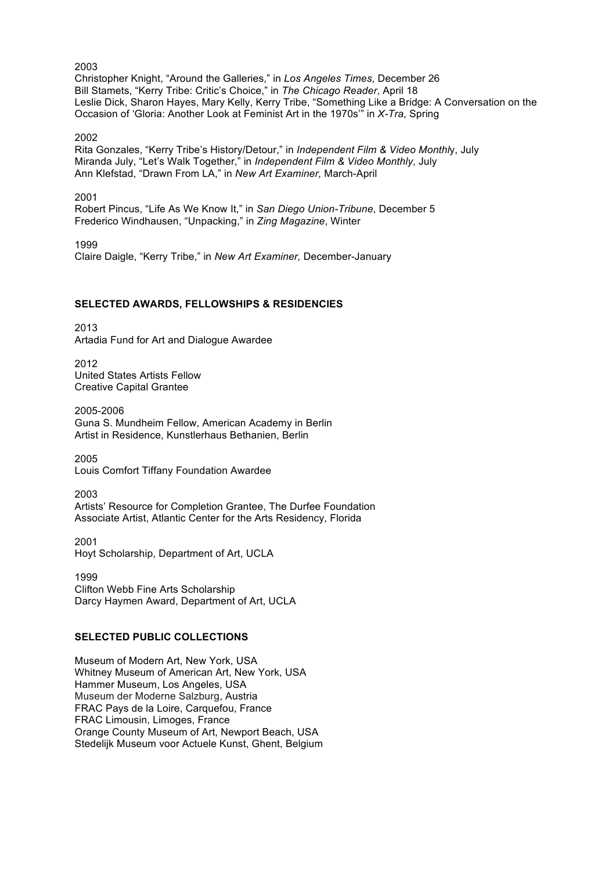2003 Christopher Knight, "Around the Galleries," in *Los Angeles Times*, December 26 Bill Stamets, "Kerry Tribe: Critic's Choice," in *The Chicago Reader*, April 18 Leslie Dick, Sharon Hayes, Mary Kelly, Kerry Tribe, "Something Like a Bridge: A Conversation on the Occasion of 'Gloria: Another Look at Feminist Art in the 1970s'" in *X-Tra*, Spring

2002

Rita Gonzales, "Kerry Tribe's History/Detour," in *Independent Film & Video Monthl*y, July Miranda July, "Let's Walk Together," in *Independent Film & Video Monthly*, July Ann Klefstad, "Drawn From LA," in *New Art Examiner,* March-April

2001

Robert Pincus, "Life As We Know It," in *San Diego Union-Tribune*, December 5 Frederico Windhausen, "Unpacking," in *Zing Magazine*, Winter

1999 Claire Daigle, "Kerry Tribe," in *New Art Examiner,* December-January

### **SELECTED AWARDS, FELLOWSHIPS & RESIDENCIES**

2013 Artadia Fund for Art and Dialogue Awardee

2012 United States Artists Fellow Creative Capital Grantee

2005-2006 Guna S. Mundheim Fellow, American Academy in Berlin Artist in Residence, Kunstlerhaus Bethanien, Berlin

2005 Louis Comfort Tiffany Foundation Awardee

2003 Artists' Resource for Completion Grantee, The Durfee Foundation Associate Artist, Atlantic Center for the Arts Residency, Florida

2001 Hoyt Scholarship, Department of Art, UCLA

1999 Clifton Webb Fine Arts Scholarship Darcy Haymen Award, Department of Art, UCLA

## **SELECTED PUBLIC COLLECTIONS**

Museum of Modern Art, New York, USA Whitney Museum of American Art, New York, USA Hammer Museum, Los Angeles, USA Museum der Moderne Salzburg, Austria FRAC Pays de la Loire, Carquefou, France FRAC Limousin, Limoges, France Orange County Museum of Art, Newport Beach, USA Stedelijk Museum voor Actuele Kunst, Ghent, Belgium